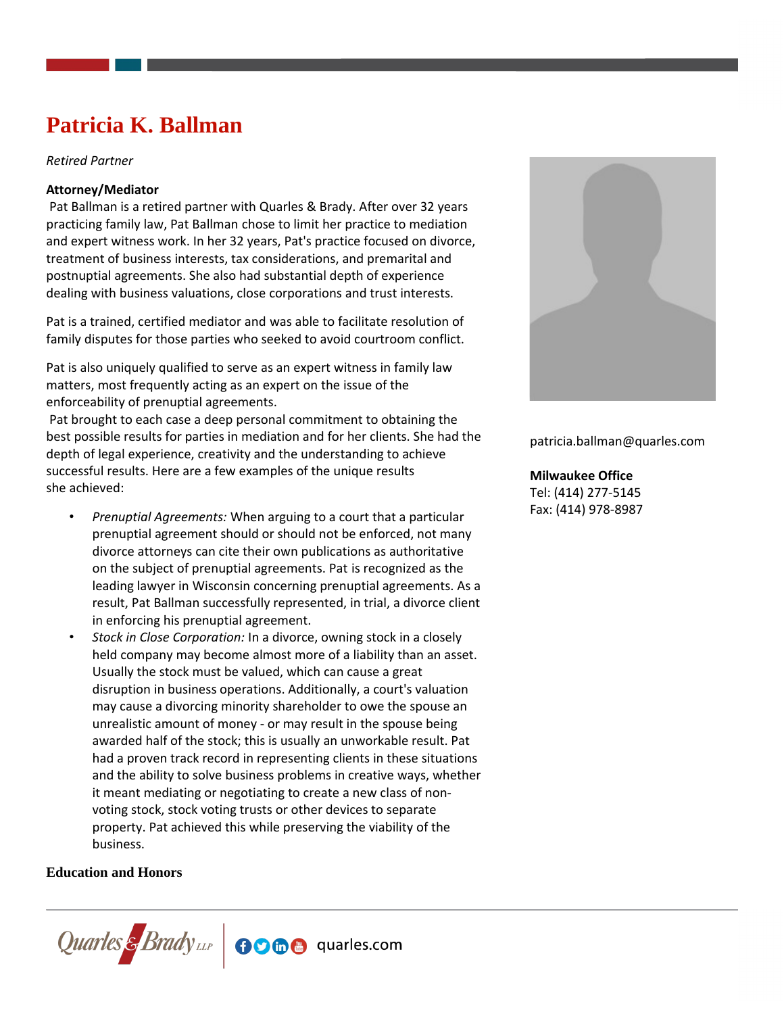# **Patricia K. Ballman**

*Retired Partner*

#### **Attorney/Mediator**

 Pat Ballman is a retired partner with Quarles & Brady. After over 32 years practicing family law, Pat Ballman chose to limit her practice to mediation and expert witness work. In her 32 years, Pat's practice focused on divorce, treatment of business interests, tax considerations, and premarital and postnuptial agreements. She also had substantial depth of experience dealing with business valuations, close corporations and trust interests.

Pat is a trained, certified mediator and was able to facilitate resolution of family disputes for those parties who seeked to avoid courtroom conflict.

Pat is also uniquely qualified to serve as an expert witness in family law matters, most frequently acting as an expert on the issue of the enforceability of prenuptial agreements.

 Pat brought to each case a deep personal commitment to obtaining the best possible results for parties in mediation and for her clients. She had the depth of legal experience, creativity and the understanding to achieve successful results. Here are a few examples of the unique results she achieved:

- *Prenuptial Agreements:* When arguing to a court that a particular prenuptial agreement should or should not be enforced, not many divorce attorneys can cite their own publications as authoritative on the subject of prenuptial agreements. Pat is recognized as the leading lawyer in Wisconsin concerning prenuptial agreements. As a result, Pat Ballman successfully represented, in trial, a divorce client in enforcing his prenuptial agreement.
- *Stock in Close Corporation:* In a divorce, owning stock in a closely held company may become almost more of a liability than an asset. Usually the stock must be valued, which can cause a great disruption in business operations. Additionally, a court's valuation may cause a divorcing minority shareholder to owe the spouse an unrealistic amount of money - or may result in the spouse being awarded half of the stock; this is usually an unworkable result. Pat had a proven track record in representing clients in these situations and the ability to solve business problems in creative ways, whether it meant mediating or negotiating to create a new class of nonvoting stock, stock voting trusts or other devices to separate property. Pat achieved this while preserving the viability of the business.

#### **Education and Honors**





patricia.ballman@quarles.com

#### **Milwaukee Office**

Tel: (414) 277-5145 Fax: (414) 978-8987